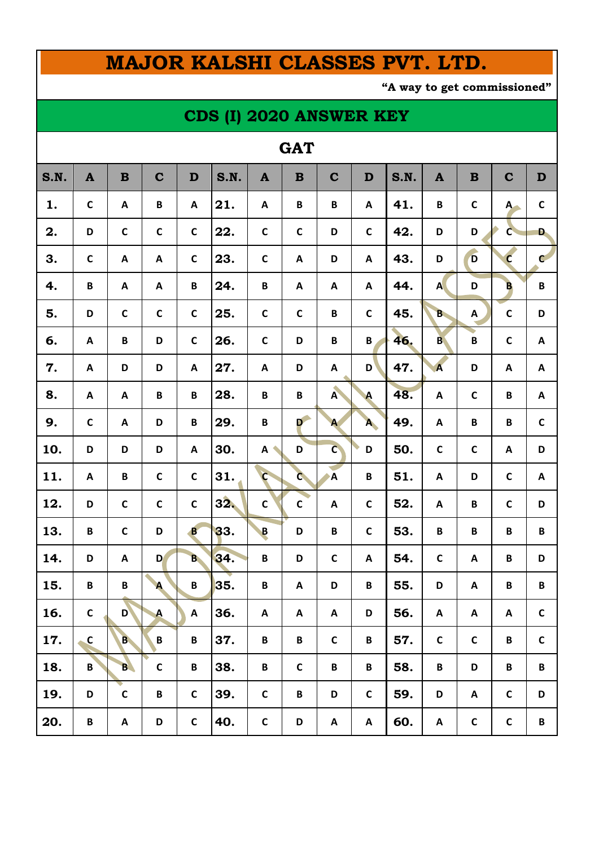# **MAJOR KALSHI CLASSES PVT. LTD.**

**"A way to get commissioned"**

### **CDS (I) 2020 ANSWER KEY**

#### **GAT**

| S.N. | $\mathbf{A}$              | $\, {\bf B}$              | $\mathbf C$               | D                         | S.N. | $\mathbf{A}$            | $\mathbf B$               | $\mathbf C$               | D                         | S.N. | $\mathbf{A}$              | $\mathbf B$               | $\mathbf C$               | $\mathbf D$               |
|------|---------------------------|---------------------------|---------------------------|---------------------------|------|-------------------------|---------------------------|---------------------------|---------------------------|------|---------------------------|---------------------------|---------------------------|---------------------------|
| 1.   | $\mathsf{C}$              | $\boldsymbol{\mathsf{A}}$ | $\, {\bf B} \,$           | $\boldsymbol{\mathsf{A}}$ | 21.  | $\mathbf{A}$            | B                         | $\, {\bf B}$              | $\pmb{\mathsf{A}}$        | 41.  | $\pmb B$                  | $\mathsf{C}$              | $A -$                     | $\mathsf C$               |
| 2.   | D                         | $\mathsf C$               | $\mathsf C$               | $\mathsf{C}$              | 22.  | $\mathsf{C}$            | $\mathsf{C}$              | D                         | $\mathsf{C}$              | 42.  | D                         | D                         | $\mathsf{C}$              | D.                        |
| 3.   | $\mathsf{C}$              | $\boldsymbol{\mathsf{A}}$ | $\boldsymbol{\mathsf{A}}$ | $\mathsf{C}$              | 23.  | $\mathbf c$             | $\boldsymbol{\mathsf{A}}$ | D                         | $\boldsymbol{\mathsf{A}}$ | 43.  | D                         | $\overline{D}$            | $\mathbf{c}$              | $\mathbf{C}$              |
| 4.   | $\, {\bf B}$              | A                         | $\boldsymbol{\mathsf{A}}$ | $\pmb B$                  | 24.  | $\, {\bf B}$            | $\boldsymbol{\mathsf{A}}$ | A                         | $\pmb{\mathsf{A}}$        | 44.  | $\mathbf{A}$              | D                         | $\overline{B}$            | B                         |
| 5.   | D                         | $\mathsf{C}$              | $\mathsf{C}$              | $\mathsf{C}$              | 25.  | $\mathbf c$             | $\mathsf C$               | $\pmb B$                  | $\mathsf C$               | 45.  | <b>B</b>                  | $\boldsymbol{\mathsf{A}}$ | $\mathsf{C}$              | D                         |
| 6.   | A                         | B                         | D                         | $\mathsf C$               | 26.  | $\mathsf{C}$            | D                         | $\pmb B$                  | $\pmb B$                  | 46.  | <b>B</b>                  | $\mathsf B$               | $\mathsf{C}$              | $\boldsymbol{\mathsf{A}}$ |
| 7.   | $\boldsymbol{\mathsf{A}}$ | D                         | D                         | $\boldsymbol{\mathsf{A}}$ | 27.  | $\boldsymbol{A}$        | D                         | $\boldsymbol{\mathsf{A}}$ | D                         | 47.  | $\overline{\mathbf{A}}$   | D                         | $\boldsymbol{\mathsf{A}}$ | $\boldsymbol{\mathsf{A}}$ |
| 8.   | A                         | A                         | $\, {\bf B}$              | $\pmb B$                  | 28.  | $\, {\bf B}$            | B                         | $\lambda$                 | $\blacktriangle$          | 48.  | $\boldsymbol{\mathsf{A}}$ | $\mathsf{C}$              | $\pmb B$                  | $\boldsymbol{\mathsf{A}}$ |
| 9.   | $\mathsf{C}$              | A                         | D                         | $\, {\bf B}$              | 29.  | $\, {\bf B}$            | D                         | $\mathbf{A}$              | A                         | 49.  | $\boldsymbol{\mathsf{A}}$ | B                         | $\pmb B$                  | $\mathsf{C}$              |
| 10.  | D                         | D                         | D                         | A                         | 30.  | A                       | D                         | $\overline{C}$            | D                         | 50.  | $\mathsf C$               | $\mathsf{C}$              | Α                         | D                         |
| 11.  | A                         | $\pmb B$                  | $\mathsf{C}$              | $\mathsf{C}$              | 31.  | $\mathsf{C}$            | $\mathbf{C}$              | $\overline{A}$            | $\pmb B$                  | 51.  | $\boldsymbol{\mathsf{A}}$ | D                         | $\mathsf{C}$              | $\boldsymbol{\mathsf{A}}$ |
| 12.  | D                         | $\mathsf C$               | $\mathsf C$               | $\mathsf{C}$              | 32.  | $\mathsf{C}$            | $\mathsf C$               | A                         | $\mathsf C$               | 52.  | A                         | B                         | $\mathsf C$               | D                         |
| 13.  | B                         | $\mathsf{C}$              | D                         | $\mathbf{B}$              | 33.  | $\overline{\mathbf{B}}$ | D                         | $\pmb B$                  | $\mathsf C$               | 53.  | $\, {\bf B}$              | B                         | B                         | B                         |
| 14.  | D                         | A                         | D                         | $B_{\bullet}$             | 34.  | B                       | D                         | $\mathbf C$               | A                         | 54.  | $\mathsf{C}$              | A                         | B                         | D                         |
| 15.  | B                         | B                         | $\blacktriangle$          | $\pmb B$                  | 35.  | B                       | A                         | D                         | B                         | 55.  | D                         | A                         | B                         | B                         |
| 16.  | $\mathsf{C}$              | D <sup>\</sup>            | $\blacktriangle$          | $\boldsymbol{\mathsf{A}}$ | 36.  | A                       | $\boldsymbol{\mathsf{A}}$ | A                         | D                         | 56.  | $\pmb{\mathsf{A}}$        | Α                         | $\pmb{\mathsf{A}}$        | $\mathbf c$               |
| 17.  | $\mathsf{C}$              | <b>B</b>                  | $\, {\bf B} \,$           | $\, {\bf B} \,$           | 37.  | B                       | B                         | $\mathsf C$               | B                         | 57.  | $\mathsf C$               | $\mathsf C$               | $\, {\bf B} \,$           | $\mathsf C$               |
| 18.  | B                         | B.                        | $\mathsf{C}$              | B                         | 38.  | B                       | $\mathsf C$               | $\, {\bf B} \,$           | B                         | 58.  | B                         | D                         | $\pmb B$                  | B                         |
| 19.  | D                         | $\mathsf C$               | $\, {\bf B} \,$           | $\mathsf C$               | 39.  | $\mathsf{C}$            | B                         | D                         | $\mathsf C$               | 59.  | D                         | A                         | $\mathsf C$               | D                         |
| 20.  | B                         | $\pmb{\mathsf{A}}$        | D                         | $\mathsf C$               | 40.  | $\mathsf{C}$            | D                         | A                         | A                         | 60.  | Α                         | $\mathsf{C}$              | $\mathsf C$               | B                         |